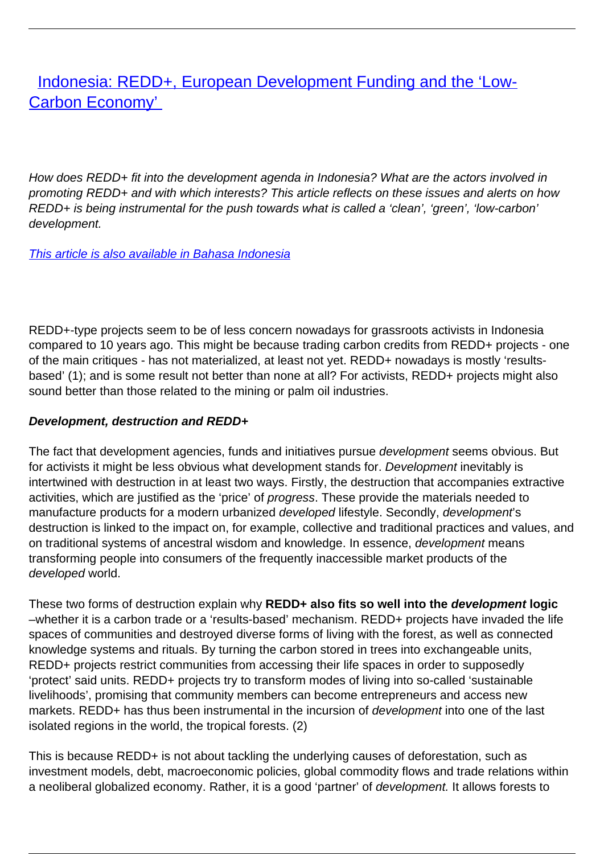[Indonesia: REDD+, European Development Funding and the 'Low-](/bulletin-articles/indonesia-redd-european-development-funding-and-the-low-carbon-economy)[Carbon Economy'](/bulletin-articles/indonesia-redd-european-development-funding-and-the-low-carbon-economy)

How does REDD+ fit into the development agenda in Indonesia? What are the actors involved in promoting REDD+ and with which interests? This article reflects on these issues and alerts on how REDD+ is being instrumental for the push towards what is called a 'clean', 'green', 'low-carbon' development.

[This article is also available in Bahasa Indonesia](https://wrm.org.uy/articles-from-the-wrm-bulletin/section1/bahasa-indonesia-indonesia-redd-pendanaan-pembangunan-eropa-dan-ekonomi-rendah-karbon/)

REDD+-type projects seem to be of less concern nowadays for grassroots activists in Indonesia compared to 10 years ago. This might be because trading carbon credits from REDD+ projects - one of the main critiques - has not materialized, at least not yet. REDD+ nowadays is mostly 'resultsbased' (1); and is some result not better than none at all? For activists, REDD+ projects might also sound better than those related to the mining or palm oil industries.

## **Development, destruction and REDD+**

The fact that development agencies, funds and initiatives pursue *development* seems obvious. But for activists it might be less obvious what development stands for. Development inevitably is intertwined with destruction in at least two ways. Firstly, the destruction that accompanies extractive activities, which are justified as the 'price' of progress. These provide the materials needed to manufacture products for a modern urbanized developed lifestyle. Secondly, development's destruction is linked to the impact on, for example, collective and traditional practices and values, and on traditional systems of ancestral wisdom and knowledge. In essence, development means transforming people into consumers of the frequently inaccessible market products of the developed world.

These two forms of destruction explain why **REDD+ also fits so well into the development logic** –whether it is a carbon trade or a 'results-based' mechanism. REDD+ projects have invaded the life spaces of communities and destroyed diverse forms of living with the forest, as well as connected knowledge systems and rituals. By turning the carbon stored in trees into exchangeable units, REDD+ projects restrict communities from accessing their life spaces in order to supposedly 'protect' said units. REDD+ projects try to transform modes of living into so-called 'sustainable livelihoods', promising that community members can become entrepreneurs and access new markets. REDD+ has thus been instrumental in the incursion of *development* into one of the last isolated regions in the world, the tropical forests. (2)

This is because REDD+ is not about tackling the underlying causes of deforestation, such as investment models, debt, macroeconomic policies, global commodity flows and trade relations within a neoliberal globalized economy. Rather, it is a good 'partner' of development. It allows forests to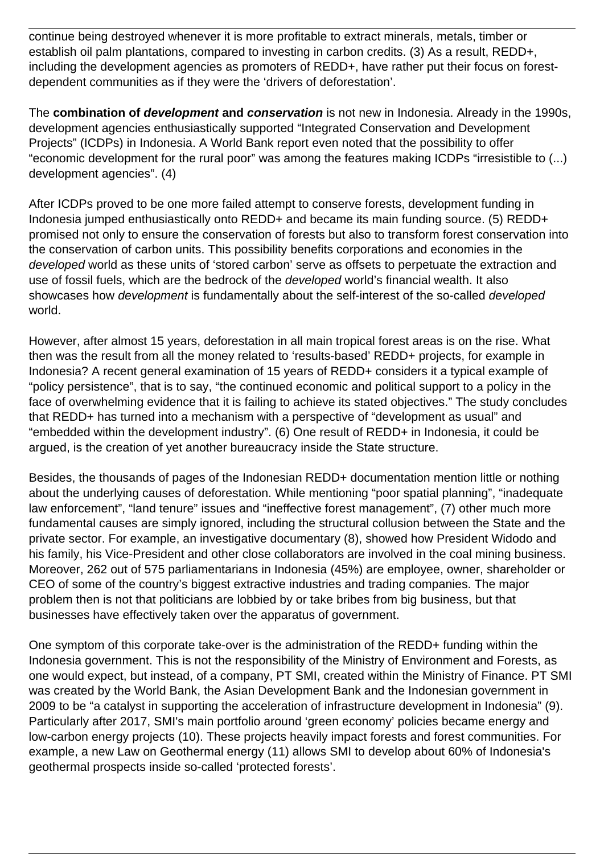continue being destroyed whenever it is more profitable to extract minerals, metals, timber or establish oil palm plantations, compared to investing in carbon credits. (3) As a result, REDD+, including the development agencies as promoters of REDD+, have rather put their focus on forestdependent communities as if they were the 'drivers of deforestation'.

The **combination of development and conservation** is not new in Indonesia. Already in the 1990s, development agencies enthusiastically supported "Integrated Conservation and Development Projects" (ICDPs) in Indonesia. A World Bank report even noted that the possibility to offer "economic development for the rural poor" was among the features making ICDPs "irresistible to (...) development agencies". (4)

After ICDPs proved to be one more failed attempt to conserve forests, development funding in Indonesia jumped enthusiastically onto REDD+ and became its main funding source. (5) REDD+ promised not only to ensure the conservation of forests but also to transform forest conservation into the conservation of carbon units. This possibility benefits corporations and economies in the developed world as these units of 'stored carbon' serve as offsets to perpetuate the extraction and use of fossil fuels, which are the bedrock of the developed world's financial wealth. It also showcases how development is fundamentally about the self-interest of the so-called developed world.

However, after almost 15 years, deforestation in all main tropical forest areas is on the rise. What then was the result from all the money related to 'results-based' REDD+ projects, for example in Indonesia? A recent general examination of 15 years of REDD+ considers it a typical example of "policy persistence", that is to say, "the continued economic and political support to a policy in the face of overwhelming evidence that it is failing to achieve its stated objectives." The study concludes that REDD+ has turned into a mechanism with a perspective of "development as usual" and "embedded within the development industry". (6) One result of REDD+ in Indonesia, it could be argued, is the creation of yet another bureaucracy inside the State structure.

Besides, the thousands of pages of the Indonesian REDD+ documentation mention little or nothing about the underlying causes of deforestation. While mentioning "poor spatial planning", "inadequate law enforcement", "land tenure" issues and "ineffective forest management", (7) other much more fundamental causes are simply ignored, including the structural collusion between the State and the private sector. For example, an investigative documentary (8), showed how President Widodo and his family, his Vice-President and other close collaborators are involved in the coal mining business. Moreover, 262 out of 575 parliamentarians in Indonesia (45%) are employee, owner, shareholder or CEO of some of the country's biggest extractive industries and trading companies. The major problem then is not that politicians are lobbied by or take bribes from big business, but that businesses have effectively taken over the apparatus of government.

One symptom of this corporate take-over is the administration of the REDD+ funding within the Indonesia government. This is not the responsibility of the Ministry of Environment and Forests, as one would expect, but instead, of a company, PT SMI, created within the Ministry of Finance. PT SMI was created by the World Bank, the Asian Development Bank and the Indonesian government in 2009 to be "a catalyst in supporting the acceleration of infrastructure development in Indonesia" (9). Particularly after 2017, SMI's main portfolio around 'green economy' policies became energy and low-carbon energy projects (10). These projects heavily impact forests and forest communities. For example, a new Law on Geothermal energy (11) allows SMI to develop about 60% of Indonesia's geothermal prospects inside so-called 'protected forests'.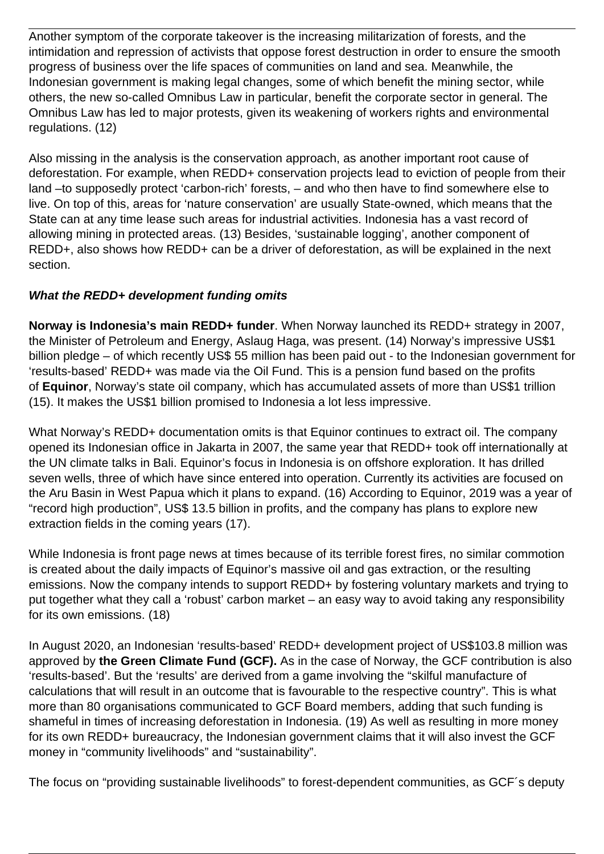Another symptom of the corporate takeover is the increasing militarization of forests, and the intimidation and repression of activists that oppose forest destruction in order to ensure the smooth progress of business over the life spaces of communities on land and sea. Meanwhile, the Indonesian government is making legal changes, some of which benefit the mining sector, while others, the new so-called Omnibus Law in particular, benefit the corporate sector in general. The Omnibus Law has led to major protests, given its weakening of workers rights and environmental regulations. (12)

Also missing in the analysis is the conservation approach, as another important root cause of deforestation. For example, when REDD+ conservation projects lead to eviction of people from their land –to supposedly protect 'carbon-rich' forests, – and who then have to find somewhere else to live. On top of this, areas for 'nature conservation' are usually State-owned, which means that the State can at any time lease such areas for industrial activities. Indonesia has a vast record of allowing mining in protected areas. (13) Besides, 'sustainable logging', another component of REDD+, also shows how REDD+ can be a driver of deforestation, as will be explained in the next section.

## **What the REDD+ development funding omits**

**Norway is Indonesia's main REDD+ funder**. When Norway launched its REDD+ strategy in 2007, the Minister of Petroleum and Energy, Aslaug Haga, was present. (14) Norway's impressive US\$1 billion pledge – of which recently US\$ 55 million has been paid out - to the Indonesian government for 'results-based' REDD+ was made via the Oil Fund. This is a pension fund based on the profits of **Equinor**, Norway's state oil company, which has accumulated assets of more than US\$1 trillion (15). It makes the US\$1 billion promised to Indonesia a lot less impressive.

What Norway's REDD+ documentation omits is that Equinor continues to extract oil. The company opened its Indonesian office in Jakarta in 2007, the same year that REDD+ took off internationally at the UN climate talks in Bali. Equinor's focus in Indonesia is on offshore exploration. It has drilled seven wells, three of which have since entered into operation. Currently its activities are focused on the Aru Basin in West Papua which it plans to expand. (16) According to Equinor, 2019 was a year of "record high production", US\$ 13.5 billion in profits, and the company has plans to explore new extraction fields in the coming years (17).

While Indonesia is front page news at times because of its terrible forest fires, no similar commotion is created about the daily impacts of Equinor's massive oil and gas extraction, or the resulting emissions. Now the company intends to support REDD+ by fostering voluntary markets and trying to put together what they call a 'robust' carbon market – an easy way to avoid taking any responsibility for its own emissions. (18)

In August 2020, an Indonesian 'results-based' REDD+ development project of US\$103.8 million was approved by **the Green Climate Fund (GCF).** As in the case of Norway, the GCF contribution is also 'results-based'. But the 'results' are derived from a game involving the "skilful manufacture of calculations that will result in an outcome that is favourable to the respective country". This is what more than 80 organisations communicated to GCF Board members, adding that such funding is shameful in times of increasing deforestation in Indonesia. (19) As well as resulting in more money for its own REDD+ bureaucracy, the Indonesian government claims that it will also invest the GCF money in "community livelihoods" and "sustainability".

The focus on "providing sustainable livelihoods" to forest-dependent communities, as GCF´s deputy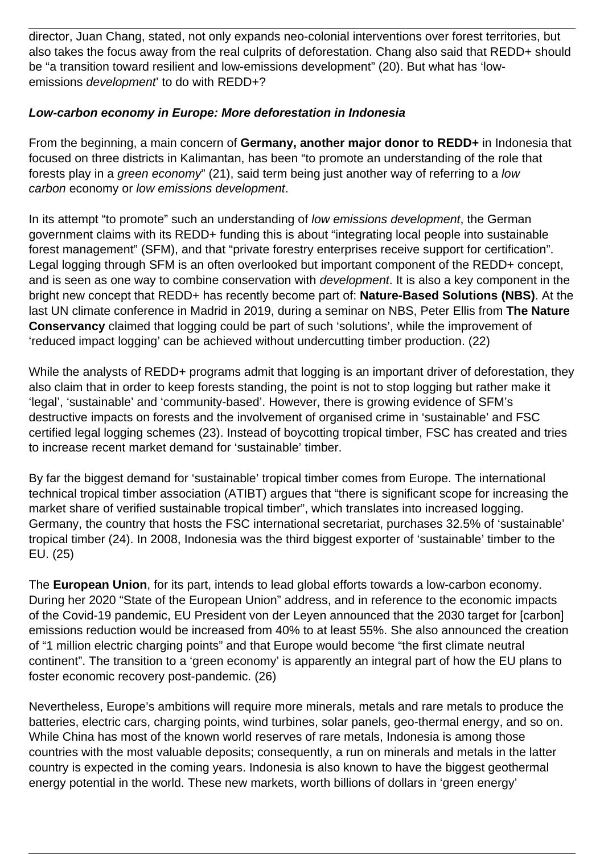director, Juan Chang, stated, not only expands neo-colonial interventions over forest territories, but also takes the focus away from the real culprits of deforestation. Chang also said that REDD+ should be "a transition toward resilient and low-emissions development" (20). But what has 'lowemissions *development* to do with REDD+?

## **Low-carbon economy in Europe: More deforestation in Indonesia**

From the beginning, a main concern of **Germany, another major donor to REDD+** in Indonesia that focused on three districts in Kalimantan, has been "to promote an understanding of the role that forests play in a green economy" (21), said term being just another way of referring to a low carbon economy or low emissions development.

In its attempt "to promote" such an understanding of low emissions development, the German government claims with its REDD+ funding this is about "integrating local people into sustainable forest management" (SFM), and that "private forestry enterprises receive support for certification". Legal logging through SFM is an often overlooked but important component of the REDD+ concept, and is seen as one way to combine conservation with development. It is also a key component in the bright new concept that REDD+ has recently become part of: **Nature-Based Solutions (NBS)**. At the last UN climate conference in Madrid in 2019, during a seminar on NBS, Peter Ellis from **The Nature Conservancy** claimed that logging could be part of such 'solutions', while the improvement of 'reduced impact logging' can be achieved without undercutting timber production. (22)

While the analysts of REDD+ programs admit that logging is an important driver of deforestation, they also claim that in order to keep forests standing, the point is not to stop logging but rather make it 'legal', 'sustainable' and 'community-based'. However, there is growing evidence of SFM's destructive impacts on forests and the involvement of organised crime in 'sustainable' and FSC certified legal logging schemes (23). Instead of boycotting tropical timber, FSC has created and tries to increase recent market demand for 'sustainable' timber.

By far the biggest demand for 'sustainable' tropical timber comes from Europe. The international technical tropical timber association (ATIBT) argues that "there is significant scope for increasing the market share of verified sustainable tropical timber", which translates into increased logging. Germany, the country that hosts the FSC international secretariat, purchases 32.5% of 'sustainable' tropical timber (24). In 2008, Indonesia was the third biggest exporter of 'sustainable' timber to the EU. (25)

The **European Union**, for its part, intends to lead global efforts towards a low-carbon economy. During her 2020 "State of the European Union" address, and in reference to the economic impacts of the Covid-19 pandemic, EU President von der Leyen announced that the 2030 target for [carbon] emissions reduction would be increased from 40% to at least 55%. She also announced the creation of "1 million electric charging points" and that Europe would become "the first climate neutral continent". The transition to a 'green economy' is apparently an integral part of how the EU plans to foster economic recovery post-pandemic. (26)

Nevertheless, Europe's ambitions will require more minerals, metals and rare metals to produce the batteries, electric cars, charging points, wind turbines, solar panels, geo-thermal energy, and so on. While China has most of the known world reserves of rare metals, Indonesia is among those countries with the most valuable deposits; consequently, a run on minerals and metals in the latter country is expected in the coming years. Indonesia is also known to have the biggest geothermal energy potential in the world. These new markets, worth billions of dollars in 'green energy'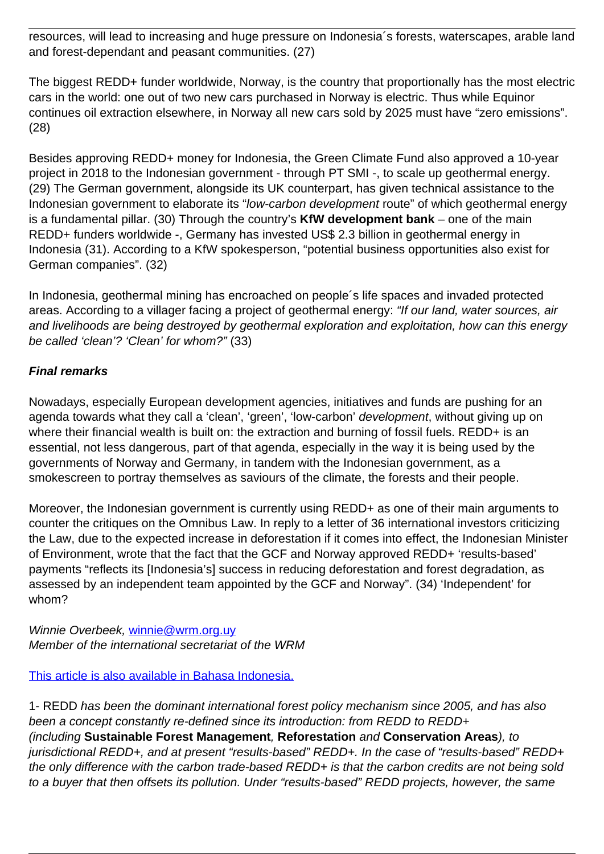resources, will lead to increasing and huge pressure on Indonesia´s forests, waterscapes, arable land and forest-dependant and peasant communities. (27)

The biggest REDD+ funder worldwide, Norway, is the country that proportionally has the most electric cars in the world: one out of two new cars purchased in Norway is electric. Thus while Equinor continues oil extraction elsewhere, in Norway all new cars sold by 2025 must have "zero emissions". (28)

Besides approving REDD+ money for Indonesia, the Green Climate Fund also approved a 10-year project in 2018 to the Indonesian government - through PT SMI -, to scale up geothermal energy. (29) The German government, alongside its UK counterpart, has given technical assistance to the Indonesian government to elaborate its "low-carbon development route" of which geothermal energy is a fundamental pillar. (30) Through the country's **KfW development bank** – one of the main REDD+ funders worldwide -, Germany has invested US\$ 2.3 billion in geothermal energy in Indonesia (31). According to a KfW spokesperson, "potential business opportunities also exist for German companies". (32)

In Indonesia, geothermal mining has encroached on people´s life spaces and invaded protected areas. According to a villager facing a project of geothermal energy: "If our land, water sources, air and livelihoods are being destroyed by geothermal exploration and exploitation, how can this energy be called 'clean'? 'Clean' for whom?" (33)

## **Final remarks**

Nowadays, especially European development agencies, initiatives and funds are pushing for an agenda towards what they call a 'clean', 'green', 'low-carbon' *development*, without giving up on where their financial wealth is built on: the extraction and burning of fossil fuels. REDD+ is an essential, not less dangerous, part of that agenda, especially in the way it is being used by the governments of Norway and Germany, in tandem with the Indonesian government, as a smokescreen to portray themselves as saviours of the climate, the forests and their people.

Moreover, the Indonesian government is currently using REDD+ as one of their main arguments to counter the critiques on the Omnibus Law. In reply to a letter of 36 international investors criticizing the Law, due to the expected increase in deforestation if it comes into effect, the Indonesian Minister of Environment, wrote that the fact that the GCF and Norway approved REDD+ 'results-based' payments "reflects its [Indonesia's] success in reducing deforestation and forest degradation, as assessed by an independent team appointed by the GCF and Norway". (34) 'Independent' for whom?

Winnie Overbeek, winnie@wrm.org.uv Member of the international secretariat of the WRM

[This article is also available in Bahasa Indonesia.](https://wrm.org.uy/articles-from-the-wrm-bulletin/section1/bahasa-indonesia-indonesia-redd-pendanaan-pembangunan-eropa-dan-ekonomi-rendah-karbon/)

1- REDD has been the dominant international forest policy mechanism since 2005, and has also been a concept constantly re-defined since its introduction: from REDD to REDD+ (including **Sustainable Forest Management**, **Reforestation** and **Conservation Areas**), to jurisdictional REDD+, and at present "results-based" REDD+. In the case of "results-based" REDD+ the only difference with the carbon trade-based REDD+ is that the carbon credits are not being sold to a buyer that then offsets its pollution. Under "results-based" REDD projects, however, the same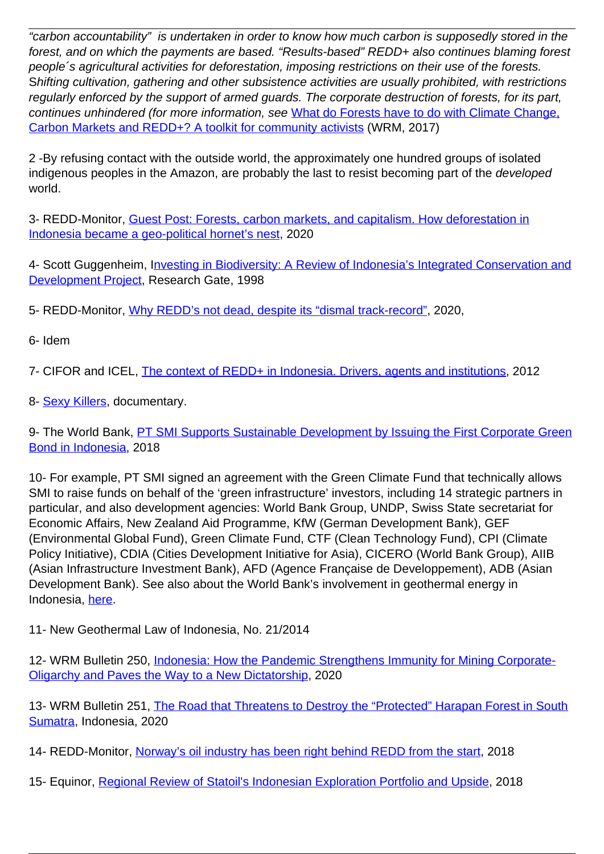"carbon accountability" is undertaken in order to know how much carbon is supposedly stored in the forest, and on which the payments are based. "Results-based" REDD+ also continues blaming forest people´s agricultural activities for deforestation, imposing restrictions on their use of the forests. Shifting cultivation, gathering and other subsistence activities are usually prohibited, with restrictions regularly enforced by the support of armed guards. The corporate destruction of forests, for its part, continues unhindered (for more information, see [What do Forests have to do with Climate Change,](https://wrm.us9.list-manage.com/track/click?u=f91b651f7fecdf835b57dc11d&id=559e9c7e60&e=d8e27bd4ab) [Carbon Markets and REDD+? A toolkit for community activists](https://wrm.us9.list-manage.com/track/click?u=f91b651f7fecdf835b57dc11d&id=559e9c7e60&e=d8e27bd4ab) (WRM, 2017)

2 -By refusing contact with the outside world, the approximately one hundred groups of isolated indigenous peoples in the Amazon, are probably the last to resist becoming part of the developed world.

3- REDD-Monitor, [Guest Post: Forests, carbon markets, and capitalism. How deforestation in](https://wrm.us9.list-manage.com/track/click?u=f91b651f7fecdf835b57dc11d&id=9510515a8f&e=d8e27bd4ab) [Indonesia became a geo-political hornet's nest,](https://wrm.us9.list-manage.com/track/click?u=f91b651f7fecdf835b57dc11d&id=9510515a8f&e=d8e27bd4ab) 2020

4- Scott Guggenheim, I[nvesting in Biodiversity: A Review of Indonesia's Integrated Conservation and](https://wrm.us9.list-manage.com/track/click?u=f91b651f7fecdf835b57dc11d&id=c668b370f5&e=d8e27bd4ab) [Development Project,](https://wrm.us9.list-manage.com/track/click?u=f91b651f7fecdf835b57dc11d&id=c668b370f5&e=d8e27bd4ab) Research Gate, 1998

5- REDD-Monitor, [Why REDD's not dead, despite its "dismal track-record"](https://wrm.us9.list-manage.com/track/click?u=f91b651f7fecdf835b57dc11d&id=1f29da4101&e=d8e27bd4ab), 2020,

6- Idem

7- CIFOR and ICEL, [The context of REDD+ in Indonesia. Drivers, agents and institutions,](https://wrm.us9.list-manage.com/track/click?u=f91b651f7fecdf835b57dc11d&id=877fd23bd4&e=d8e27bd4ab) 2012

8- [Sexy Killers](https://wrm.us9.list-manage.com/track/click?u=f91b651f7fecdf835b57dc11d&id=f12b93abee&e=d8e27bd4ab), documentary.

9- The World Bank, [PT SMI Supports Sustainable Development by Issuing the First Corporate Green](https://wrm.us9.list-manage.com/track/click?u=f91b651f7fecdf835b57dc11d&id=c058c66bd7&e=d8e27bd4ab) [Bond in Indonesia](https://wrm.us9.list-manage.com/track/click?u=f91b651f7fecdf835b57dc11d&id=c058c66bd7&e=d8e27bd4ab), 2018

10- For example, PT SMI signed an agreement with the Green Climate Fund that technically allows SMI to raise funds on behalf of the 'green infrastructure' investors, including 14 strategic partners in particular, and also development agencies: World Bank Group, UNDP, Swiss State secretariat for Economic Affairs, New Zealand Aid Programme, KfW (German Development Bank), GEF (Environmental Global Fund), Green Climate Fund, CTF (Clean Technology Fund), CPI (Climate Policy Initiative), CDIA (Cities Development Initiative for Asia), CICERO (World Bank Group), AIIB (Asian Infrastructure Investment Bank), AFD (Agence Française de Developpement), ADB (Asian Development Bank). See also about the World Bank's involvement in geothermal energy in Indonesia, [here](https://wrm.us9.list-manage.com/track/click?u=f91b651f7fecdf835b57dc11d&id=68feaa29c5&e=d8e27bd4ab).

11- New Geothermal Law of Indonesia, No. 21/2014

12- WRM Bulletin 250, [Indonesia: How the Pandemic Strengthens Immunity for Mining Corporate-](https://wrm.us9.list-manage.com/track/click?u=f91b651f7fecdf835b57dc11d&id=7adbd96563&e=d8e27bd4ab)[Oligarchy and Paves the Way to a New Dictatorship,](https://wrm.us9.list-manage.com/track/click?u=f91b651f7fecdf835b57dc11d&id=7adbd96563&e=d8e27bd4ab) 2020

13- WRM Bulletin 251, [The Road that Threatens to Destroy the "Protected" Harapan Forest in South](https://wrm.us9.list-manage.com/track/click?u=f91b651f7fecdf835b57dc11d&id=2f78b83899&e=d8e27bd4ab) [Sumatra,](https://wrm.us9.list-manage.com/track/click?u=f91b651f7fecdf835b57dc11d&id=2f78b83899&e=d8e27bd4ab) Indonesia, 2020

14- REDD-Monitor, [Norway's oil industry has been right behind REDD from the start,](https://wrm.us9.list-manage.com/track/click?u=f91b651f7fecdf835b57dc11d&id=fa3b0b3149&e=d8e27bd4ab) 2018

15- Equinor, [Regional Review of Statoil's Indonesian Exploration Portfolio and Upside](https://wrm.us9.list-manage.com/track/click?u=f91b651f7fecdf835b57dc11d&id=acf3baf3aa&e=d8e27bd4ab), 2018